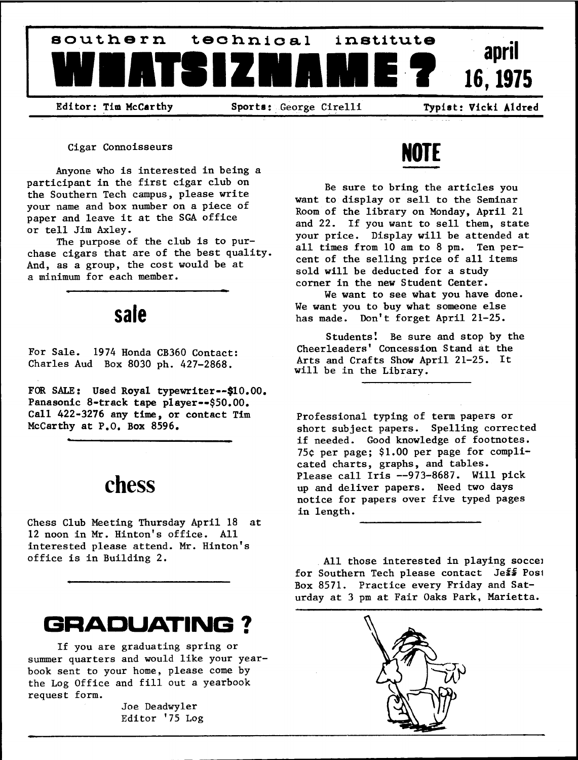

Editor: Tim McCarthy Sports: George Cirelli Typist: Vicki Aldred

Cigar Connoisseurs

Anyone who is interested in being participant in the first cigar club on the Southern Tech campus, please write your name and box number on a piece of paper and leave it at the SGA office or tell Jim Axley

The purpose of the club is to pur chase cigars that are of the best quality. And, as a group, the cost would be at a minimum for each member.

### sale

For Sale. 1974 Honda CB360 Contact: Charles Aud Box 8030 ph.  $427-2868$ .

FOR SALE: Used Royal typewriter--\$10.00. Panasonic 8-track tape player--\$50.00. Call 422-3276 any time, or contact Tim McCarthy at  $P.0$ . Box 8596.

# chess

Chess Club Meeting Thursday April <sup>18</sup> at 12 noon in Mr. Hinton's office. All interested please attend. Mr. Hinton's office is in Building

# GRADUATING

If you are graduating spring or summer quarters and would like your year book sent to your home, please come by the Log Office and fill out a yearbook request form

> Joe Deadwyler Editor '75 Log

# NOTE

Be sure to bring the articles you want to display or sell to the Seminar Room of the library on Monday, April 21 and 22. If you want to sell them, state your price. Display will be attended at all times from  $10$  am to  $8$  pm. Ten percent of the selling price of all items sold will be deducted for a study corner in the new Student Center

We want to see what you have done. We want you to buy what someone else has made. Don't forget April 21-25.

Students! Be sure and stop by the Cheerleaders' Concession Stand at the Arts and Crafts Show April 21-25. It will be in the Library.

Professional typing of term papers or short subject papers. Spelling corrected if needed. Good knowledge of footnotes. 75 $¢$  per page; \$1.00 per page for complicated charts, graphs, and tables. Please call Iris --973-8687. Will pick up and deliver papers. Need two days notice for papers over five typed pages in length

All those interested in playing soccer for Southern Tech please contact Jeff Post Box 8571. Practice every Friday and Saturday at 3 pm at Fair Oaks Park, Marietta.

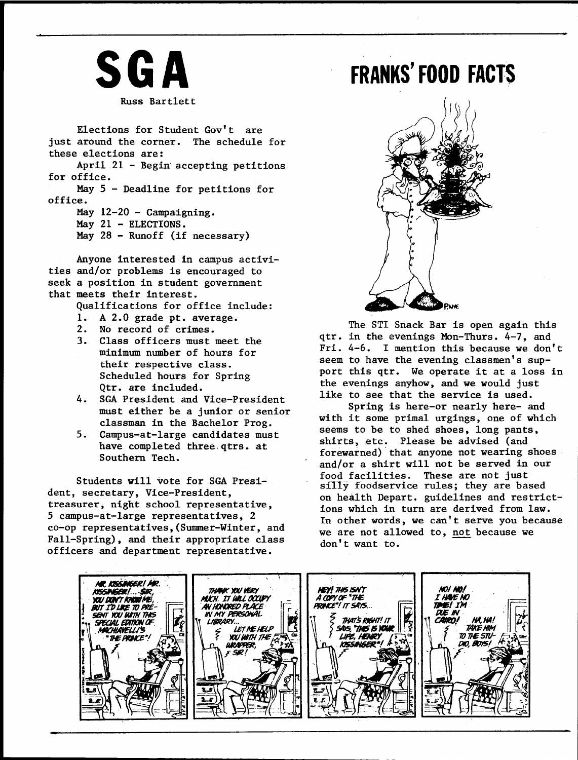

Elections for Student Gov't are just around the corner. The schedule for these elections are April  $21$  - Begin accepting petitions for office

May  $5$  - Deadline for petitions for office

May  $12-20$  - Campaigning.

May  $21$  - ELECTIONS.

May  $28$  - Runoff (if necessary)

Anyone interested in campus activi ties and/or problems is encouraged to seek a position in student governmen seem a position in Stadem.

Qualifications for office include

- A 2.0 grade pt. average. 1.
- $2.$ No record of crimes
- $3.$ Class officers must meet the minimum number of hours for their respective class Scheduled hours for Spring Qtr. are included.
- 4. SGA President and Vice-President must either be a junior or senior classman in the Bachelor Prog
- $5.$ Campus-at-large candidates must have completed three qtrs. at Southern Tech

Students will vote for SGA Presi dent, secretary, Vice-President, treasurer, night school representative,  $5$  campus-at-large representatives, 2 co-op representatives, (Summer-Winter, and Fall-Spring), and their appropriate class officers and department representative

# FRANKS' FOOD FACTS



The STI Snack Bar is open again this qtr. in the evenings Mon-Thurs. 4-7, and Fri.  $4-6$ . I mention this because we don't seem to have the evening classmen's support this qtr. We operate it at a loss in the evenings anyhow, and we would just like to see that the service is used.

Spring is here-or nearly here- and with it some primal urgings, one of which seems to be to shed shoes, long pants, shirts, etc. Please be advised (and forewarned) that anyone not wearing shoes and/or a shirt will not be served in our food facilities. These are not just silly foodservice rules; they are based on health Depart. guidelines and restrictions which in turn are derived from law In other words, we can't serve you because we are not allowed to, not because we don't want to.

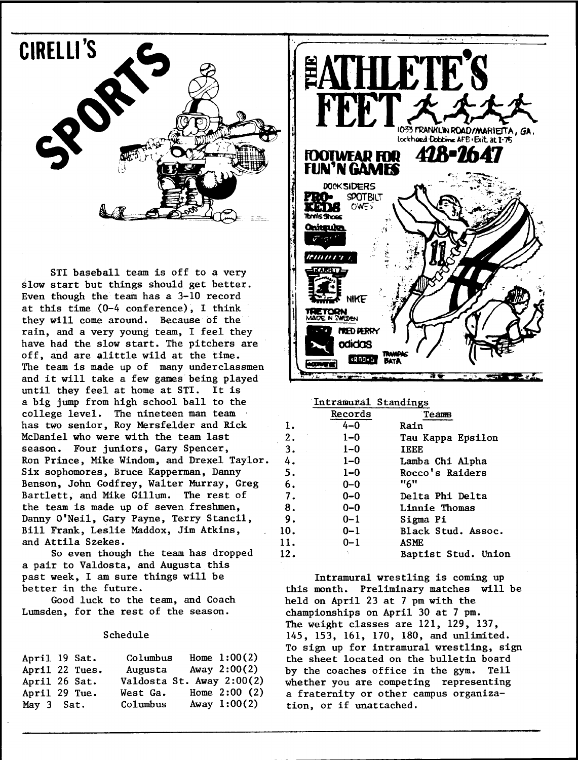

STI baseball team is off to a very slow start but things should get better. Even though the team has a  $3-10$  record at this time  $(0-4$  conference). I think they will come around. Because of the rain, and a very young team, I feel they have had the slow start. The pitchers are off, and are alittle wild at the time. The team is made up of many underclassmen and it will take a few games being played until they feel at home at STI. It is big jump from high school ball to the college level. The nineteen man team has two senior, Roy Mersfelder and Rick McDaniel who were with the team last season. Four juniors, Gary Spencer, Ron Prince, Mike Windom, and Drexel Taylor. Six sophomores, Bruce Kapperman, Danny Benson, John Godfrey, Walter Murray, Greg Bartlett, and Mike Gillum. The rest of the team is made up of seven freshmen Danny O'Neil, Gary Payne, Terry Stancil, Bill Frank, Leslie Maddox, Jim Atkins, and Attila Szekes

So even though the team has dropped a pair to Valdosta, and Augusta this past week, I am sure things will be better in the future

Good luck to the team, and Coach Lumsden, for the rest of the season.

### Schedule

| April 19 Sat.  |  | Columbus                  | Home $1:00(2)$ |
|----------------|--|---------------------------|----------------|
| April 22 Tues. |  | Augusta                   | Away $2:00(2)$ |
| April 26 Sat.  |  | Valdosta St. Away 2:00(2) |                |
| April 29 Tue.  |  | West Ga.                  | Home $2:00(2)$ |
| May 3 Sat.     |  | Columbus                  | Away $1:00(2)$ |



Intramural Standings

|     | Records | Teams               |
|-----|---------|---------------------|
| 1.  | 4-0     | <b>Rain</b>         |
| 2.  | $1 - 0$ | Tau Kappa Epsilon   |
| 3.  | $1 - 0$ | <b>TEEE</b>         |
| 4.  | $1 - 0$ | Lamba Chi Alpha     |
| 5.  | $1 - 0$ | Rocco's Raiders     |
| 6.  | $0 - 0$ | "6"                 |
| 7.  | $0 - 0$ | Delta Phi Delta     |
| 8.  | $0 - 0$ | Linnie Thomas       |
| 9.  | $0 - 1$ | Sigma Pi            |
| 10. | $0 - 1$ | Black Stud. Assoc.  |
| 11. | $0 - 1$ | ASME                |
| 12. |         | Baptist Stud. Union |
|     |         |                     |

Intramural wrestling is coming up this month. Preliminary matches will be held on April 23 at 7 pm with the championships on April 30 at 7 pm. The weight classes are  $121$ ,  $129$ ,  $137$ , 145, 153, 161, 170, 180, and unlimited. To sign up for intramural wrestling, sign the sheet located on the bulletin board by the coaches office in the gym. Tell whether you are competing representing a fraternity or other campus organization, or if unattached.